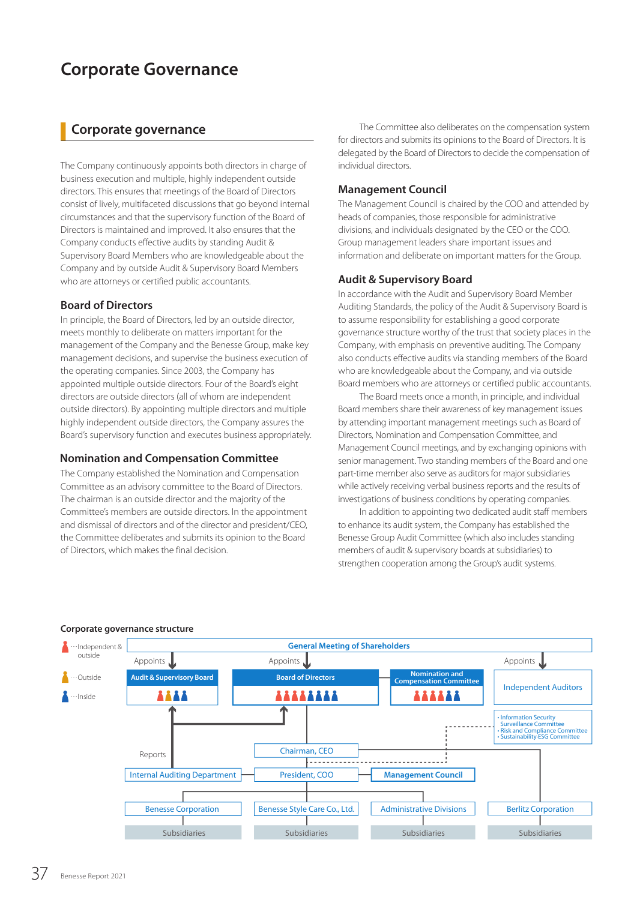# **Corporate Governance**

## **Corporate governance**

The Company continuously appoints both directors in charge of business execution and multiple, highly independent outside directors. This ensures that meetings of the Board of Directors consist of lively, multifaceted discussions that go beyond internal circumstances and that the supervisory function of the Board of Directors is maintained and improved. It also ensures that the Company conducts effective audits by standing Audit & Supervisory Board Members who are knowledgeable about the Company and by outside Audit & Supervisory Board Members who are attorneys or certified public accountants.

### **Board of Directors**

In principle, the Board of Directors, led by an outside director, meets monthly to deliberate on matters important for the management of the Company and the Benesse Group, make key management decisions, and supervise the business execution of the operating companies. Since 2003, the Company has appointed multiple outside directors. Four of the Board's eight directors are outside directors (all of whom are independent outside directors). By appointing multiple directors and multiple highly independent outside directors, the Company assures the Board's supervisory function and executes business appropriately.

### **Nomination and Compensation Committee**

The Company established the Nomination and Compensation Committee as an advisory committee to the Board of Directors. The chairman is an outside director and the majority of the Committee's members are outside directors. In the appointment and dismissal of directors and of the director and president/CEO, the Committee deliberates and submits its opinion to the Board of Directors, which makes the final decision.

The Committee also deliberates on the compensation system for directors and submits its opinions to the Board of Directors. It is delegated by the Board of Directors to decide the compensation of individual directors.

### **Management Council**

The Management Council is chaired by the COO and attended by heads of companies, those responsible for administrative divisions, and individuals designated by the CEO or the COO. Group management leaders share important issues and information and deliberate on important matters for the Group.

### **Audit & Supervisory Board**

In accordance with the Audit and Supervisory Board Member Auditing Standards, the policy of the Audit & Supervisory Board is to assume responsibility for establishing a good corporate governance structure worthy of the trust that society places in the Company, with emphasis on preventive auditing. The Company also conducts effective audits via standing members of the Board who are knowledgeable about the Company, and via outside Board members who are attorneys or certified public accountants.

The Board meets once a month, in principle, and individual Board members share their awareness of key management issues by attending important management meetings such as Board of Directors, Nomination and Compensation Committee, and Management Council meetings, and by exchanging opinions with senior management. Two standing members of the Board and one part-time member also serve as auditors for major subsidiaries while actively receiving verbal business reports and the results of investigations of business conditions by operating companies.

In addition to appointing two dedicated audit staff members to enhance its audit system, the Company has established the Benesse Group Audit Committee (which also includes standing members of audit & supervisory boards at subsidiaries) to strengthen cooperation among the Group's audit systems.



### **Corporate governance structure**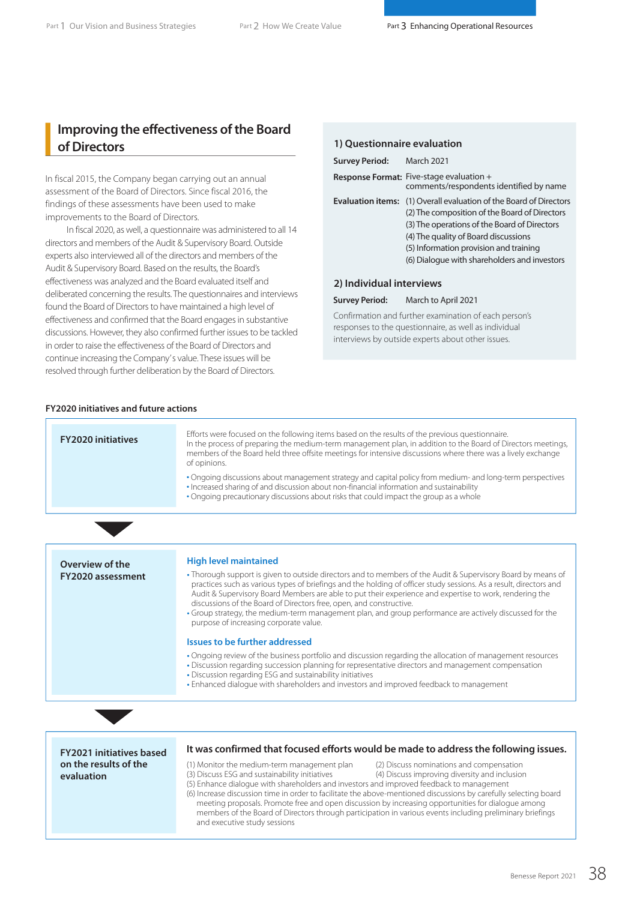## **Improving the effectiveness of the Board of Directors**

In fiscal 2015, the Company began carrying out an annual assessment of the Board of Directors. Since fiscal 2016, the findings of these assessments have been used to make improvements to the Board of Directors.

In fiscal 2020, as well, a questionnaire was administered to all 14 directors and members of the Audit & Supervisory Board. Outside experts also interviewed all of the directors and members of the Audit & Supervisory Board. Based on the results, the Board's effectiveness was analyzed and the Board evaluated itself and deliberated concerning the results. The questionnaires and interviews found the Board of Directors to have maintained a high level of effectiveness and confirmed that the Board engages in substantive discussions. However, they also confirmed further issues to be tackled in order to raise the effectiveness of the Board of Directors and continue increasing the Company' s value. These issues will be resolved through further deliberation by the Board of Directors.

#### **1) Questionnaire evaluation**

| <b>Survey Period:</b>    | <b>March 2021</b>                                                                                                                                                                                                                                                                   |
|--------------------------|-------------------------------------------------------------------------------------------------------------------------------------------------------------------------------------------------------------------------------------------------------------------------------------|
|                          | Response Format: Five-stage evaluation +<br>comments/respondents identified by name                                                                                                                                                                                                 |
| <b>Evaluation items:</b> | (1) Overall evaluation of the Board of Directors<br>(2) The composition of the Board of Directors<br>(3) The operations of the Board of Directors<br>(4) The quality of Board discussions<br>(5) Information provision and training<br>(6) Dialogue with shareholders and investors |
| 2) Individual interviews |                                                                                                                                                                                                                                                                                     |

#### **Survey Period:** March to April 2021

Confirmation and further examination of each person's responses to the questionnaire, as well as individual interviews by outside experts about other issues.

### **FY2020 initiatives and future actions**

| <b>FY2020 initiatives</b> | Efforts were focused on the following items based on the results of the previous questionnaire.<br>In the process of preparing the medium-term management plan, in addition to the Board of Directors meetings,<br>members of the Board held three offsite meetings for intensive discussions where there was a lively exchange<br>of opinions.<br>. Ongoing discussions about management strategy and capital policy from medium- and long-term perspectives<br>• Increased sharing of and discussion about non-financial information and sustainability<br>• Ongoing precautionary discussions about risks that could impact the group as a whole |
|---------------------------|-----------------------------------------------------------------------------------------------------------------------------------------------------------------------------------------------------------------------------------------------------------------------------------------------------------------------------------------------------------------------------------------------------------------------------------------------------------------------------------------------------------------------------------------------------------------------------------------------------------------------------------------------------|
|                           |                                                                                                                                                                                                                                                                                                                                                                                                                                                                                                                                                                                                                                                     |
| Overview of the           | <b>High level maintained</b>                                                                                                                                                                                                                                                                                                                                                                                                                                                                                                                                                                                                                        |
| FY2020 assessment         | • Thorough support is given to outside directors and to members of the Audit & Supervisory Board by means of<br>practices such as various types of briefings and the holding of officer study sessions. As a result, directors and<br>Audit & Supervisory Board Members are able to put their experience and expertise to work, rendering the<br>discussions of the Board of Directors free, open, and constructive.<br>. Group strategy, the medium-term management plan, and group performance are actively discussed for the<br>purpose of increasing corporate value.                                                                           |
|                           | Issues to be further addressed                                                                                                                                                                                                                                                                                                                                                                                                                                                                                                                                                                                                                      |
|                           | . Ongoing review of the business portfolio and discussion regarding the allocation of management resources<br>. Discussion regarding succession planning for representative directors and management compensation<br>. Discussion regarding ESG and sustainability initiatives<br>• Enhanced dialogue with shareholders and investors and improved feedback to management                                                                                                                                                                                                                                                                           |
|                           |                                                                                                                                                                                                                                                                                                                                                                                                                                                                                                                                                                                                                                                     |

**FY2021 initiatives based on the results of the evaluation**

#### **It was confirmed that focused efforts would be made to address the following issues.**

- (1) Monitor the medium-term management plan (2) Discuss nominations and compensation<br>(3) Discuss ESG and sustainability initiatives (4) Discuss improving diversity and inclusion
- -
- (4) Discuss improving diversity and inclusion
- (5) Enhance dialogue with shareholders and investors and improved feedback to management (6) Increase discussion time in order to facilitate the above-mentioned discussions by carefully selecting board meeting proposals. Promote free and open discussion by increasing opportunities for dialogue among members of the Board of Directors through participation in various events including preliminary briefings and executive study sessions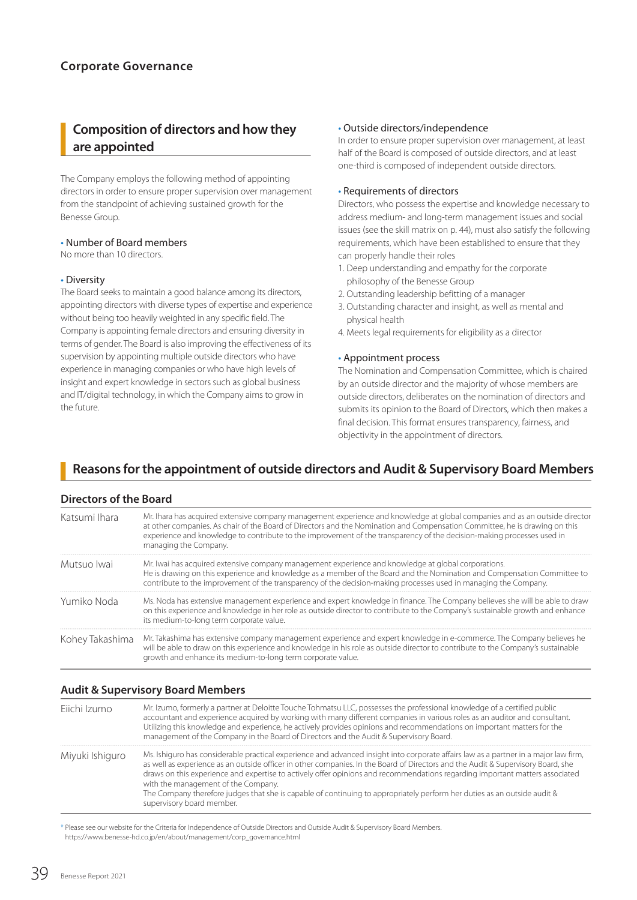## **Composition of directors and how they are appointed**

The Company employs the following method of appointing directors in order to ensure proper supervision over management from the standpoint of achieving sustained growth for the Benesse Group.

#### • Number of Board members

No more than 10 directors.

#### • Diversity

The Board seeks to maintain a good balance among its directors, appointing directors with diverse types of expertise and experience without being too heavily weighted in any specific field. The Company is appointing female directors and ensuring diversity in terms of gender. The Board is also improving the effectiveness of its supervision by appointing multiple outside directors who have experience in managing companies or who have high levels of insight and expert knowledge in sectors such as global business and IT/digital technology, in which the Company aims to grow in the future.

#### • Outside directors/independence

In order to ensure proper supervision over management, at least half of the Board is composed of outside directors, and at least one-third is composed of independent outside directors.

### • Requirements of directors

Directors, who possess the expertise and knowledge necessary to address medium- and long-term management issues and social issues (see the skill matrix on p. 44), must also satisfy the following requirements, which have been established to ensure that they can properly handle their roles

- 1. Deep understanding and empathy for the corporate philosophy of the Benesse Group
- 2. Outstanding leadership befitting of a manager
- 3. Outstanding character and insight, as well as mental and physical health
- 4. Meets legal requirements for eligibility as a director

### • Appointment process

The Nomination and Compensation Committee, which is chaired by an outside director and the majority of whose members are outside directors, deliberates on the nomination of directors and submits its opinion to the Board of Directors, which then makes a final decision. This format ensures transparency, fairness, and objectivity in the appointment of directors.

## **Reasons for the appointment of outside directors and Audit & Supervisory Board Members**

### **Directors of the Board**

| Katsumi Ihara   | Mr. Ihara has acquired extensive company management experience and knowledge at global companies and as an outside director<br>at other companies. As chair of the Board of Directors and the Nomination and Compensation Committee, he is drawing on this<br>experience and knowledge to contribute to the improvement of the transparency of the decision-making processes used in<br>managing the Company. |
|-----------------|---------------------------------------------------------------------------------------------------------------------------------------------------------------------------------------------------------------------------------------------------------------------------------------------------------------------------------------------------------------------------------------------------------------|
| Mutsuo Iwai     | Mr. Iwai has acquired extensive company management experience and knowledge at global corporations.<br>He is drawing on this experience and knowledge as a member of the Board and the Nomination and Compensation Committee to<br>contribute to the improvement of the transparency of the decision-making processes used in managing the Company.                                                           |
| Yumiko Noda     | Ms. Noda has extensive management experience and expert knowledge in finance. The Company believes she will be able to draw<br>on this experience and knowledge in her role as outside director to contribute to the Company's sustainable growth and enhance<br>its medium-to-long term corporate value.                                                                                                     |
| Kohey Takashima | Mr. Takashima has extensive company management experience and expert knowledge in e-commerce. The Company believes he<br>will be able to draw on this experience and knowledge in his role as outside director to contribute to the Company's sustainable<br>growth and enhance its medium-to-long term corporate value.                                                                                      |

### **Audit & Supervisory Board Members**

| Fiichi Izumo    | Mr. Izumo, formerly a partner at Deloitte Touche Tohmatsu LLC, possesses the professional knowledge of a certified public<br>accountant and experience acquired by working with many different companies in various roles as an auditor and consultant.<br>Utilizing this knowledge and experience, he actively provides opinions and recommendations on important matters for the<br>management of the Company in the Board of Directors and the Audit & Supervisory Board.                                                                                                                             |
|-----------------|----------------------------------------------------------------------------------------------------------------------------------------------------------------------------------------------------------------------------------------------------------------------------------------------------------------------------------------------------------------------------------------------------------------------------------------------------------------------------------------------------------------------------------------------------------------------------------------------------------|
| Miyuki Ishiguro | Ms. Ishiguro has considerable practical experience and advanced insight into corporate affairs law as a partner in a major law firm,<br>as well as experience as an outside officer in other companies. In the Board of Directors and the Audit & Supervisory Board, she<br>draws on this experience and expertise to actively offer opinions and recommendations regarding important matters associated<br>with the management of the Company.<br>The Company therefore judges that she is capable of continuing to appropriately perform her duties as an outside audit &<br>supervisory board member. |

\* Please see our website for the Criteria for Independence of Outside Directors and Outside Audit & Supervisory Board Members. https://www.benesse-hd.co.jp/en/about/management/corp\_governance.html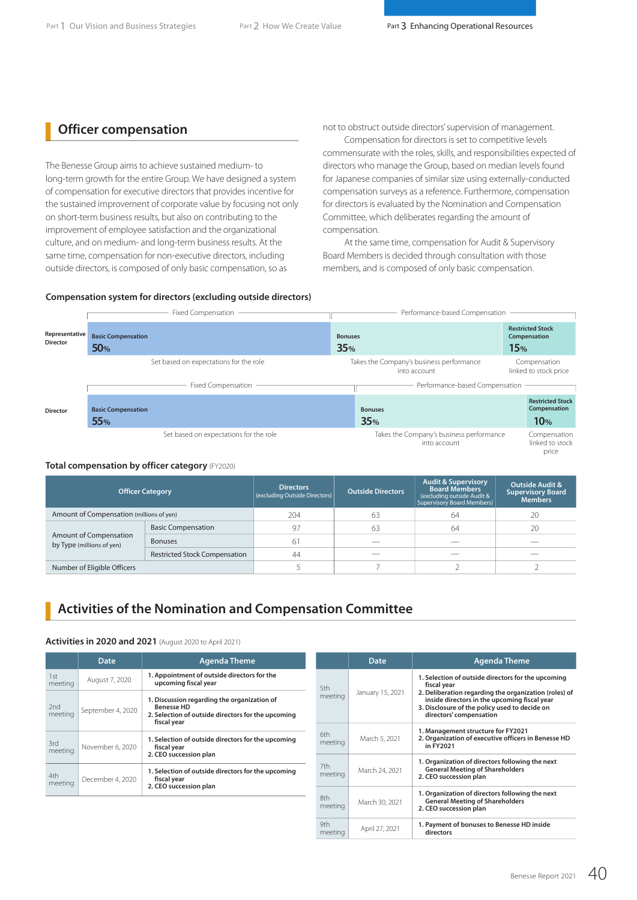## **Officer compensation**

The Benesse Group aims to achieve sustained medium- to long-term growth for the entire Group. We have designed a system of compensation for executive directors that provides incentive for the sustained improvement of corporate value by focusing not only on short-term business results, but also on contributing to the improvement of employee satisfaction and the organizational culture, and on medium- and long-term business results. At the same time, compensation for non-executive directors, including outside directors, is composed of only basic compensation, so as

not to obstruct outside directors' supervision of management.

Compensation for directors is set to competitive levels commensurate with the roles, skills, and responsibilities expected of directors who manage the Group, based on median levels found for Japanese companies of similar size using externally-conducted compensation surveys as a reference. Furthermore, compensation for directors is evaluated by the Nomination and Compensation Committee, which deliberates regarding the amount of compensation.

At the same time, compensation for Audit & Supervisory Board Members is decided through consultation with those members, and is composed of only basic compensation.

### **Compensation system for directors (excluding outside directors)**

|                                   | Fixed Compensation                      | Performance-based Compensation                           |                                                |
|-----------------------------------|-----------------------------------------|----------------------------------------------------------|------------------------------------------------|
| Representative<br><b>Director</b> | <b>Basic Compensation</b><br><b>50%</b> | <b>Bonuses</b><br>35%                                    | <b>Restricted Stock</b><br>Compensation<br>15% |
|                                   | Set based on expectations for the role  | Takes the Company's business performance<br>into account | Compensation<br>linked to stock price          |
|                                   | Fixed Compensation                      | Performance-based Compensation                           |                                                |
| <b>Director</b>                   | <b>Basic Compensation</b><br><b>55%</b> | <b>Bonuses</b><br>35%                                    | <b>Restricted Stock</b><br>Compensation<br>10% |
|                                   | Set based on expectations for the role  | Takes the Company's business performance<br>into account | Compensation<br>linked to stock<br>price       |

#### **Total compensation by officer category** (FY2020)

| <b>Officer Category</b>                             |                                      | <b>Directors</b><br>(excluding Outside Directors) | <b>Outside Directors</b> | <b>Audit &amp; Supervisory</b><br><b>Board Members</b><br>(excluding outside Audit &<br>Supervisory Board Members) | <b>Outside Audit &amp;</b><br><b>Supervisory Board</b><br><b>Members</b> |
|-----------------------------------------------------|--------------------------------------|---------------------------------------------------|--------------------------|--------------------------------------------------------------------------------------------------------------------|--------------------------------------------------------------------------|
| Amount of Compensation (millions of yen)            |                                      | 204                                               | 63                       | 64                                                                                                                 | 20                                                                       |
|                                                     | <b>Basic Compensation</b>            | 97                                                | 63                       | 64                                                                                                                 | 20                                                                       |
| Amount of Compensation<br>by Type (millions of yen) | <b>Bonuses</b>                       | 61                                                |                          |                                                                                                                    |                                                                          |
|                                                     | <b>Restricted Stock Compensation</b> | 44                                                |                          |                                                                                                                    |                                                                          |
| Number of Eligible Officers                         |                                      |                                                   |                          |                                                                                                                    |                                                                          |

## **Activities of the Nomination and Compensation Committee**

#### **Activities in 2020 and 2021** (August 2020 to April 2021)

|                | <b>Date</b>       | <b>Agenda Theme</b>                                                                                                                   |                                                                                                                         | <b>Date</b>                                                                                            | <b>Agenda Theme</b>                                                                                                                                                               |  |  |  |
|----------------|-------------------|---------------------------------------------------------------------------------------------------------------------------------------|-------------------------------------------------------------------------------------------------------------------------|--------------------------------------------------------------------------------------------------------|-----------------------------------------------------------------------------------------------------------------------------------------------------------------------------------|--|--|--|
| 1st<br>meeting | August 7, 2020    | 1. Appointment of outside directors for the<br>upcoming fiscal year                                                                   |                                                                                                                         |                                                                                                        | 1. Selection of outside directors for the upcoming<br>fiscal year                                                                                                                 |  |  |  |
| 2nd<br>meeting | September 4, 2020 | 1. Discussion regarding the organization of<br><b>Benesse HD</b><br>2. Selection of outside directors for the upcoming<br>fiscal year | meeting                                                                                                                 |                                                                                                        | 2. Deliberation regarding the organization (roles) of<br>inside directors in the upcoming fiscal year<br>3. Disclosure of the policy used to decide on<br>directors' compensation |  |  |  |
| 3rd<br>meeting | November 6, 2020  | 1. Selection of outside directors for the upcoming<br>fiscal year                                                                     | 5th<br>January 15, 2021<br>6th<br>March 5, 2021<br>meeting<br>7th<br>March 24, 2021<br>meeting<br>8th<br>March 30, 2021 | 1. Management structure for FY2021<br>2. Organization of executive officers in Benesse HD<br>in FY2021 |                                                                                                                                                                                   |  |  |  |
| 4th<br>meeting | December 4, 2020  | 2. CEO succession plan<br>1. Selection of outside directors for the upcoming<br>fiscal year                                           |                                                                                                                         |                                                                                                        | 1. Organization of directors following the next<br><b>General Meeting of Shareholders</b><br>2. CEO succession plan                                                               |  |  |  |
|                |                   | 2. CEO succession plan                                                                                                                | meeting                                                                                                                 |                                                                                                        | 1. Organization of directors following the next<br><b>General Meeting of Shareholders</b><br>2. CEO succession plan                                                               |  |  |  |
|                |                   |                                                                                                                                       | 9th<br>meeting                                                                                                          | April 27, 2021                                                                                         | 1. Payment of bonuses to Benesse HD inside<br>directors                                                                                                                           |  |  |  |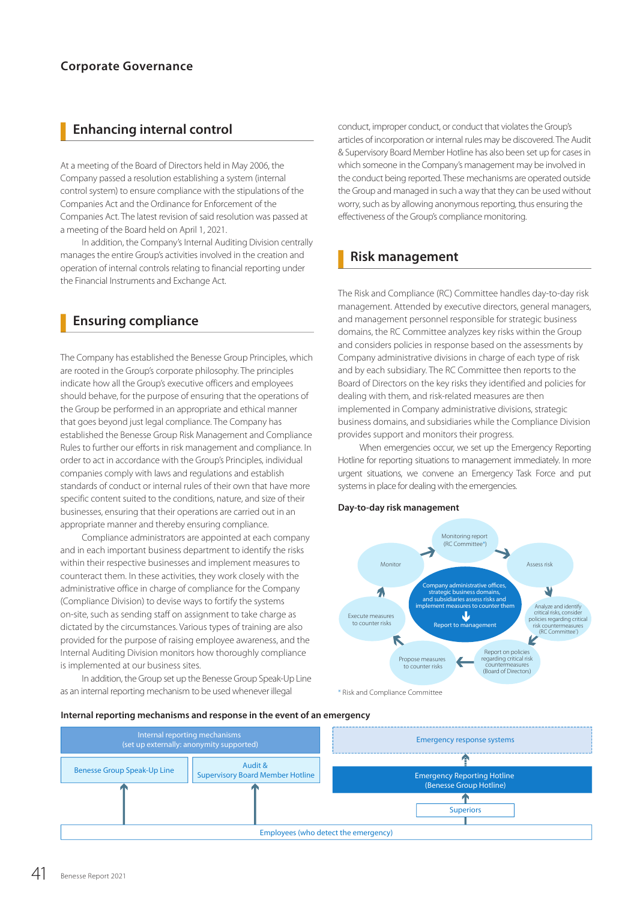## **Enhancing internal control**

At a meeting of the Board of Directors held in May 2006, the Company passed a resolution establishing a system (internal control system) to ensure compliance with the stipulations of the Companies Act and the Ordinance for Enforcement of the Companies Act. The latest revision of said resolution was passed at a meeting of the Board held on April 1, 2021.

In addition, the Company's Internal Auditing Division centrally manages the entire Group's activities involved in the creation and operation of internal controls relating to financial reporting under the Financial Instruments and Exchange Act.

## **Ensuring compliance**

The Company has established the Benesse Group Principles, which are rooted in the Group's corporate philosophy. The principles indicate how all the Group's executive officers and employees should behave, for the purpose of ensuring that the operations of the Group be performed in an appropriate and ethical manner that goes beyond just legal compliance. The Company has established the Benesse Group Risk Management and Compliance Rules to further our efforts in risk management and compliance. In order to act in accordance with the Group's Principles, individual companies comply with laws and regulations and establish standards of conduct or internal rules of their own that have more specific content suited to the conditions, nature, and size of their businesses, ensuring that their operations are carried out in an appropriate manner and thereby ensuring compliance.

Compliance administrators are appointed at each company and in each important business department to identify the risks within their respective businesses and implement measures to counteract them. In these activities, they work closely with the administrative office in charge of compliance for the Company (Compliance Division) to devise ways to fortify the systems on-site, such as sending staff on assignment to take charge as dictated by the circumstances. Various types of training are also provided for the purpose of raising employee awareness, and the Internal Auditing Division monitors how thoroughly compliance is implemented at our business sites.

In addition, the Group set up the Benesse Group Speak-Up Line as an internal reporting mechanism to be used whenever illegal

conduct, improper conduct, or conduct that violates the Group's articles of incorporation or internal rules may be discovered. The Audit & Supervisory Board Member Hotline has also been set up for cases in which someone in the Company's management may be involved in the conduct being reported. These mechanisms are operated outside the Group and managed in such a way that they can be used without worry, such as by allowing anonymous reporting, thus ensuring the effectiveness of the Group's compliance monitoring.

## **Risk management**

The Risk and Compliance (RC) Committee handles day-to-day risk management. Attended by executive directors, general managers, and management personnel responsible for strategic business domains, the RC Committee analyzes key risks within the Group and considers policies in response based on the assessments by Company administrative divisions in charge of each type of risk and by each subsidiary. The RC Committee then reports to the Board of Directors on the key risks they identified and policies for dealing with them, and risk-related measures are then implemented in Company administrative divisions, strategic business domains, and subsidiaries while the Compliance Division provides support and monitors their progress.

When emergencies occur, we set up the Emergency Reporting Hotline for reporting situations to management immediately. In more urgent situations, we convene an Emergency Task Force and put systems in place for dealing with the emergencies.

### **Day-to-day risk management**



\* Risk and Compliance Committee

#### Internal reporting mechanisms and response in the event of an emergency

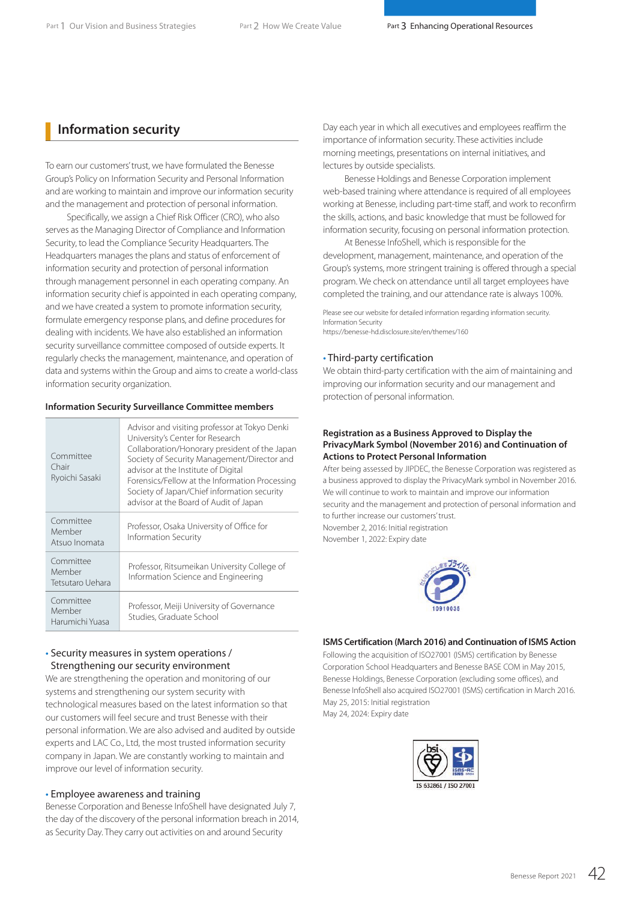## **Information security**

To earn our customers' trust, we have formulated the Benesse Group's Policy on Information Security and Personal Information and are working to maintain and improve our information security and the management and protection of personal information.

Specifically, we assign a Chief Risk Officer (CRO), who also serves as the Managing Director of Compliance and Information Security, to lead the Compliance Security Headquarters. The Headquarters manages the plans and status of enforcement of information security and protection of personal information through management personnel in each operating company. An information security chief is appointed in each operating company, and we have created a system to promote information security, formulate emergency response plans, and define procedures for dealing with incidents. We have also established an information security surveillance committee composed of outside experts. It regularly checks the management, maintenance, and operation of data and systems within the Group and aims to create a world-class information security organization.

#### **Information Security Surveillance Committee members**

| Committee<br>Chair<br>Ryoichi Sasaki    | Advisor and visiting professor at Tokyo Denki<br>University's Center for Research<br>Collaboration/Honorary president of the Japan<br>Society of Security Management/Director and<br>advisor at the Institute of Digital<br>Forensics/Fellow at the Information Processing<br>Society of Japan/Chief information security<br>advisor at the Board of Audit of Japan |
|-----------------------------------------|---------------------------------------------------------------------------------------------------------------------------------------------------------------------------------------------------------------------------------------------------------------------------------------------------------------------------------------------------------------------|
| Committee<br>Member<br>Atsuo Inomata    | Professor, Osaka University of Office for<br>Information Security                                                                                                                                                                                                                                                                                                   |
| Committee<br>Member<br>Tetsutaro Uehara | Professor, Ritsumeikan University College of<br>Information Science and Engineering                                                                                                                                                                                                                                                                                 |
| Committee<br>Member<br>Harumichi Yuasa  | Professor, Meiji University of Governance<br>Studies, Graduate School                                                                                                                                                                                                                                                                                               |

### • Security measures in system operations / Strengthening our security environment

We are strengthening the operation and monitoring of our systems and strengthening our system security with technological measures based on the latest information so that our customers will feel secure and trust Benesse with their **May 24, 2024: Expiry date** personal information. We are also advised and audited by outside experts and LAC Co., Ltd, the most trusted information security company in Japan. We are constantly working to maintain and improve our level of information security.

### • Employee awareness and training

Benesse Corporation and Benesse InfoShell have designated July 7, the day of the discovery of the personal information breach in 2014, as Security Day. They carry out activities on and around Security

Day each year in which all executives and employees reaffirm the importance of information security. These activities include morning meetings, presentations on internal initiatives, and lectures by outside specialists.

Benesse Holdings and Benesse Corporation implement web-based training where attendance is required of all employees working at Benesse, including part-time staff, and work to reconfirm the skills, actions, and basic knowledge that must be followed for information security, focusing on personal information protection.

At Benesse InfoShell, which is responsible for the development, management, maintenance, and operation of the Group's systems, more stringent training is offered through a special program. We check on attendance until all target employees have completed the training, and our attendance rate is always 100%.

Please see our website for detailed information regarding information security. Information Security https://benesse-hd.disclosure.site/en/themes/160

#### • Third-party certification

We obtain third-party certification with the aim of maintaining and improving our information security and our management and protection of personal information.

#### **Registration as a Business Approved to Display the PrivacyMark Symbol (November 2016) and Continuation of Actions to Protect Personal Information**

After being assessed by JIPDEC, the Benesse Corporation was registered as a business approved to display the PrivacyMark symbol in November 2016. We will continue to work to maintain and improve our information security and the management and protection of personal information and to further increase our customers' trust. November 2, 2016: Initial registration

November 1, 2022: Expiry date



#### **ISMS Certification (March 2016) and Continuation of ISMS Action**

Following the acquisition of ISO27001 (ISMS) certification by Benesse Corporation School Headquarters and Benesse BASE COM in May 2015, Benesse Holdings, Benesse Corporation (excluding some offices), and Benesse InfoShell also acquired ISO27001 (ISMS) certification in March 2016. May 25, 2015: Initial registration

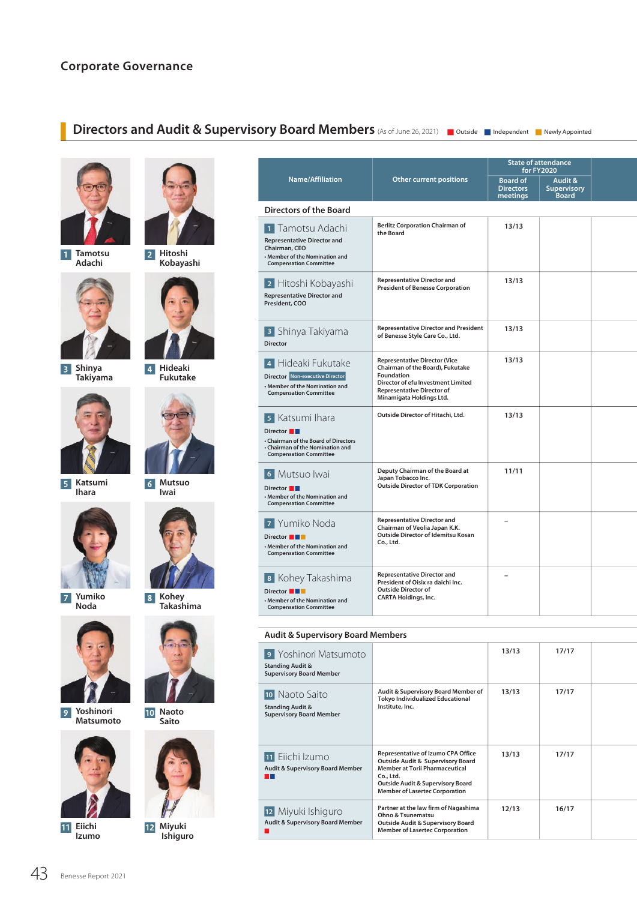## **Corporate Governance**

### **Directors and Audit & Supervisory Board Members** (As of June 26, 2021) **D** Outside **D** Independent **N** Newly Appointed



 $\vert$  1  $\vert$ **Tamotsu Adachi**



 $\vert 3 \vert$ **Shinya Takiyama**



**Katsumi Ihara**



**Yumiko Noda**



**Yoshinori**   $\overline{9}$ **Matsumoto**



**11** Eiichi **Izumo**



**Hitoshi Kobayashi**



**4** Hideaki **Fukutake**



**Mutsuo Iwai**



**Kohey Takashima**



**Naoto Saito**



**Miyuki Ishiguro**

|                                                                                                                                                   |                                                                                                                                                                                               |                                                 | <b>State of attendance</b><br><b>for FY2020</b> |  |
|---------------------------------------------------------------------------------------------------------------------------------------------------|-----------------------------------------------------------------------------------------------------------------------------------------------------------------------------------------------|-------------------------------------------------|-------------------------------------------------|--|
| <b>Name/Affiliation</b>                                                                                                                           | Other current positions                                                                                                                                                                       | <b>Board of</b><br><b>Directors</b><br>meetings | Audit &<br>Supervisory<br><b>Board</b>          |  |
| <b>Directors of the Board</b>                                                                                                                     |                                                                                                                                                                                               |                                                 |                                                 |  |
| 1 Tamotsu Adachi<br><b>Representative Director and</b><br>Chairman, CEO<br>• Member of the Nomination and<br><b>Compensation Committee</b>        | <b>Berlitz Corporation Chairman of</b><br>the Board                                                                                                                                           | 13/13                                           |                                                 |  |
| 2 Hitoshi Kobayashi<br><b>Representative Director and</b><br>President, COO                                                                       | <b>Representative Director and</b><br><b>President of Benesse Corporation</b>                                                                                                                 | 13/13                                           |                                                 |  |
| <sup>3</sup> Shinya Takiyama<br>Director                                                                                                          | <b>Representative Director and President</b><br>of Benesse Style Care Co., Ltd.                                                                                                               | 13/13                                           |                                                 |  |
| 4 Hideaki Fukutake<br>Director Non-executive Director<br>• Member of the Nomination and<br><b>Compensation Committee</b>                          | <b>Representative Director (Vice</b><br>Chairman of the Board), Fukutake<br>Foundation<br>Director of efu Investment Limited<br><b>Representative Director of</b><br>Minamigata Holdings Ltd. | 13/13                                           |                                                 |  |
| 5 Katsumi Ihara<br>Director <b>I</b><br>• Chairman of the Board of Directors<br>• Chairman of the Nomination and<br><b>Compensation Committee</b> | Outside Director of Hitachi, Ltd.                                                                                                                                                             | 13/13                                           |                                                 |  |
| 6 Mutsuo Iwai<br>Director <b>I</b><br>• Member of the Nomination and<br><b>Compensation Committee</b>                                             | Deputy Chairman of the Board at<br>Japan Tobacco Inc.<br><b>Outside Director of TDK Corporation</b>                                                                                           | 11/11                                           |                                                 |  |
| 7 Yumiko Noda<br>Director <b>THE</b><br>• Member of the Nomination and<br><b>Compensation Committee</b>                                           | <b>Representative Director and</b><br>Chairman of Veolia Japan K.K.<br>Outside Director of Idemitsu Kosan<br>Co., Ltd.                                                                        | $\overline{\phantom{0}}$                        |                                                 |  |
| 8 Kohey Takashima<br>Director <b>THE</b><br>Member of the Nomination and<br><b>Compensation Committee</b>                                         | <b>Representative Director and</b><br>President of Oisix ra daichi Inc.<br><b>Outside Director of</b><br><b>CARTA Holdings, Inc.</b>                                                          | $\overline{\phantom{0}}$                        |                                                 |  |

### **Audit & Supervisory Board Members**

| 9 Yoshinori Matsumoto<br><b>Standing Audit &amp;</b><br><b>Supervisory Board Member</b> |                                                                                                                                                                                                                                   | 13/13 | 17/17 |  |
|-----------------------------------------------------------------------------------------|-----------------------------------------------------------------------------------------------------------------------------------------------------------------------------------------------------------------------------------|-------|-------|--|
| 10 Naoto Saito<br><b>Standing Audit &amp;</b><br><b>Supervisory Board Member</b>        | Audit & Supervisory Board Member of<br><b>Tokyo Individualized Educational</b><br>Institute, Inc.                                                                                                                                 | 13/13 | 17/17 |  |
| 11 Eiichi Izumo<br><b>Audit &amp; Supervisory Board Member</b>                          | Representative of Izumo CPA Office<br><b>Outside Audit &amp; Supervisory Board</b><br><b>Member at Torii Pharmaceutical</b><br>Co., Ltd.<br><b>Outside Audit &amp; Supervisory Board</b><br><b>Member of Lasertec Corporation</b> | 13/13 | 17/17 |  |
| 12 Miyuki Ishiguro<br><b>Audit &amp; Supervisory Board Member</b>                       | Partner at the law firm of Nagashima<br>Ohno & Tsunematsu<br><b>Outside Audit &amp; Supervisory Board</b><br><b>Member of Lasertec Corporation</b>                                                                                | 12/13 | 16/17 |  |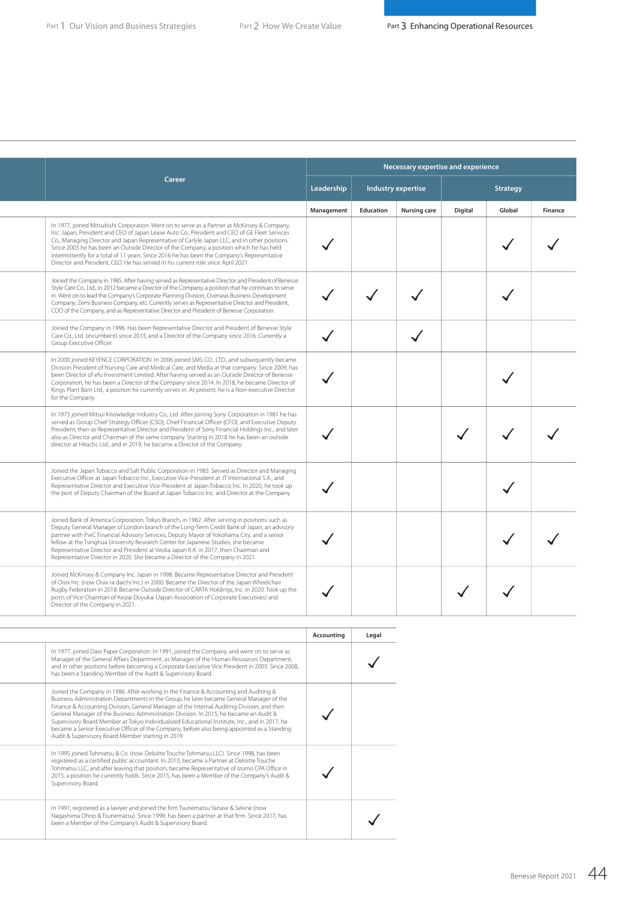|                                                                                                                                                                                                                                                                                                                                                                                                                                                                                                                                                                              |            |           | Necessary expertise and experience |         |          |         |
|------------------------------------------------------------------------------------------------------------------------------------------------------------------------------------------------------------------------------------------------------------------------------------------------------------------------------------------------------------------------------------------------------------------------------------------------------------------------------------------------------------------------------------------------------------------------------|------------|-----------|------------------------------------|---------|----------|---------|
| Career                                                                                                                                                                                                                                                                                                                                                                                                                                                                                                                                                                       | Leadership |           | Industry expertise                 |         | Strategy |         |
|                                                                                                                                                                                                                                                                                                                                                                                                                                                                                                                                                                              | Management | Education | <b>Nursing care</b>                | Digital | Global   | Finance |
| In 1977, joined Mitsubishi Corporation. Went on to serve as a Partner at McKinsey & Company,<br>Inc. Japan, President and CEO of Japan Lease Auto Co., President and CEO of GE Fleet Services<br>Co., Managing Director and Japan Representative of Carlyle Japan LLC, and in other positions.<br>Since 2003 he has been an Outside Director of the Company, a position which he has held<br>intermittently for a total of 11 years. Since 2016 he has been the Company's Representative<br>Director and President, CEO. He has served in his current role since April 2021. |            |           |                                    |         |          |         |
| Joined the Company in 1985. After having served as Representative Director and President of Benesse<br>Style Care Co., Ltd., in 2012 became a Director of the Company, a position that he continues to serve<br>in. Went on to lead the Company's Corporate Planning Division, Overseas Business Development<br>Company, Zemi Business Company, etc. Currently serves as Representative Director and President,<br>COO of the Company, and as Representative Director and President of Benesse Corporation.                                                                  |            |           |                                    |         |          |         |
| Joined the Company in 1996. Has been Representative Director and President of Benesse Style<br>Care Co., Ltd. (incumbent) since 2013, and a Director of the Company since 2016. Currently a<br>Group Executive Officer.                                                                                                                                                                                                                                                                                                                                                      |            |           |                                    |         |          |         |
| In 2000 joined KEYENCE CORPORATION. In 2006 joined SMS CO., LTD., and subsequently became<br>Division President of Nursing Care and Medical Care, and Media at that company. Since 2009, has<br>been Director of efu Investment Limited. After having served as an Outside Director of Benesse<br>Corporation, he has been a Director of the Company since 2014. In 2018, he became Director of<br>Kings Plant Barn Ltd., a position he currently serves in. At present, he is a Non-executive Director<br>for the Company.                                                  |            |           |                                    |         |          |         |
| In 1973 joined Mitsui Knowledge Industry Co., Ltd. After joining Sony Corporation in 1981 he has<br>served as Group Chief Strategy Officer (CSO), Chief Financial Officer (CFO), and Executive Deputy<br>President, then as Representative Director and President of Sony Financial Holdings Inc., and later<br>also as Director and Chairman of the same company. Starting in 2018 he has been an outside<br>director at Hitachi, Ltd., and in 2019, he became a Director of the Company.                                                                                   |            |           |                                    |         |          |         |
| Joined the Japan Tobacco and Salt Public Corporation in 1983. Served as Director and Managing<br>Executive Officer at Japan Tobacco Inc., Executive Vice-President at JT International S.A., and<br>Representative Director and Executive Vice-President at Japan Tobacco Inc. In 2020, he took up<br>the post of Deputy Chairman of the Board at Japan Tobacco Inc. and Director at the Company.                                                                                                                                                                            |            |           |                                    |         |          |         |
| Joined Bank of America Corporation, Tokyo Branch, in 1982. After serving in positions such as<br>Deputy General Manager of London branch of the Long-Term Credit Bank of Japan, an advisory<br>partner with PwC Financial Advisory Services, Deputy Mayor of Yokohama City, and a senior<br>fellow at the Tsinghua University Research Center for Japanese Studies, she became<br>Representative Director and President at Veolia Japan K.K. in 2017, then Chairman and<br>Representative Director in 2020. She became a Director of the Company in 2021.                    |            |           |                                    |         |          |         |
| Joined McKinsey & Company Inc. Japan in 1998. Became Representative Director and President<br>of Oisix Inc. (now Oisix ra daichi Inc.) in 2000. Became the Director of the Japan Wheelchair<br>Rugby Federation in 2018. Became Outside Director of CARTA Holdings, Inc. in 2020. Took up the<br>posts of Vice Chairman of Keizai Doyukai (Japan Association of Corporate Executives) and<br>Director of the Company in 2021.                                                                                                                                                |            |           |                                    |         |          |         |

| Accounting |                                                                                                                                                                                                                                                                                                                                                                                                                                                                                                                                                                                                                                | Legal |
|------------|--------------------------------------------------------------------------------------------------------------------------------------------------------------------------------------------------------------------------------------------------------------------------------------------------------------------------------------------------------------------------------------------------------------------------------------------------------------------------------------------------------------------------------------------------------------------------------------------------------------------------------|-------|
|            | In 1977, joined Daio Paper Corporation. In 1991, joined the Company, and went on to serve as<br>Manager of the General Affairs Department, as Manager of the Human Resources Department,<br>and in other positions before becoming a Corporate Executive Vice President in 2003. Since 2008,<br>has been a Standing Member of the Audit & Supervisory Board.                                                                                                                                                                                                                                                                   |       |
|            | Joined the Company in 1986. After working in the Finance & Accounting and Auditing &<br>Business Administration Departments in the Group, he later became General Manager of the<br>Finance & Accounting Division, General Manager of the Internal Auditing Division, and then<br>General Manager of the Business Administration Division. In 2015, he became an Audit &<br>Supervisory Board Member at Tokyo Individualized Educational Institute, Inc., and in 2017, he<br>became a Senior Executive Officer of the Company, before also being appointed as a Standing<br>Audit & Supervisory Board Member starting in 2019. |       |
|            | In 1995 joined Tohmatsu & Co. (now Deloitte Touche Tohmatsu LLC). Since 1998, has been<br>registered as a certified public accountant. In 2010, became a Partner at Deloitte Touche<br>Tohmatsu LLC, and after leaving that position, became Representative of Izumo CPA Office in<br>2015, a position he currently holds. Since 2015, has been a Member of the Company's Audit &<br>Supervisory Board.                                                                                                                                                                                                                        |       |
|            | In 1991, registered as a lawyer and joined the firm Tsunematsu Yanase & Sekine (now<br>Nagashima Ohno & Tsunematsu). Since 1999, has been a partner at that firm. Since 2017, has<br>been a Member of the Company's Audit & Supervisory Board.                                                                                                                                                                                                                                                                                                                                                                                 |       |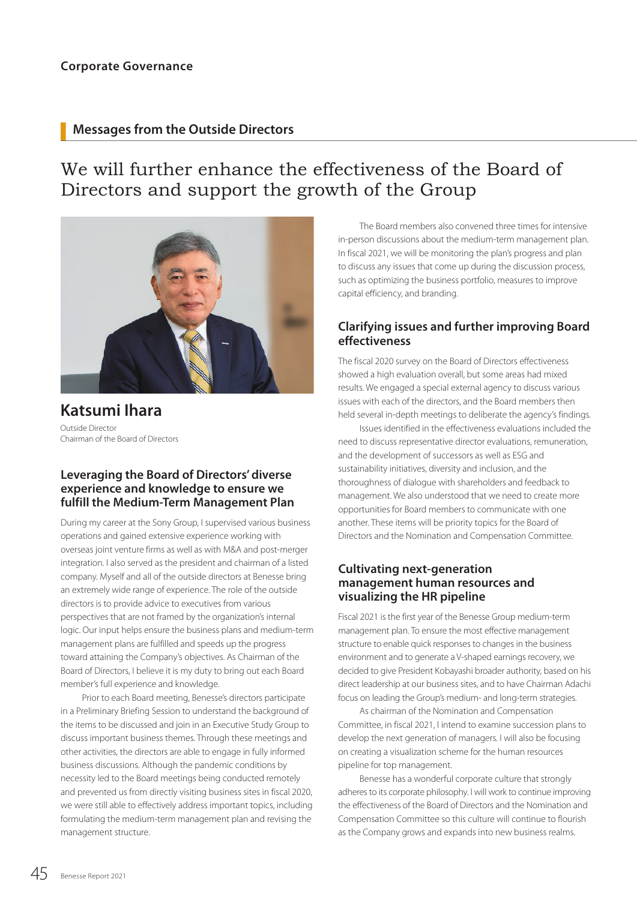## **Messages from the Outside Directors**

# We will further enhance the effectiveness of the Board of Directors and support the growth of the Group



**Katsumi Ihara** Outside Director Chairman of the Board of Directors

### **Leveraging the Board of Directors' diverse experience and knowledge to ensure we fulfill the Medium-Term Management Plan**

During my career at the Sony Group, I supervised various business operations and gained extensive experience working with overseas joint venture firms as well as with M&A and post-merger integration. I also served as the president and chairman of a listed company. Myself and all of the outside directors at Benesse bring an extremely wide range of experience. The role of the outside directors is to provide advice to executives from various perspectives that are not framed by the organization's internal logic. Our input helps ensure the business plans and medium-term management plans are fulfilled and speeds up the progress toward attaining the Company's objectives. As Chairman of the Board of Directors, I believe it is my duty to bring out each Board member's full experience and knowledge.

Prior to each Board meeting, Benesse's directors participate in a Preliminary Briefing Session to understand the background of the items to be discussed and join in an Executive Study Group to discuss important business themes. Through these meetings and other activities, the directors are able to engage in fully informed business discussions. Although the pandemic conditions by necessity led to the Board meetings being conducted remotely and prevented us from directly visiting business sites in fiscal 2020, we were still able to effectively address important topics, including formulating the medium-term management plan and revising the management structure.

The Board members also convened three times for intensive in-person discussions about the medium-term management plan. In fiscal 2021, we will be monitoring the plan's progress and plan to discuss any issues that come up during the discussion process, such as optimizing the business portfolio, measures to improve capital efficiency, and branding.

## **Clarifying issues and further improving Board effectiveness**

The fiscal 2020 survey on the Board of Directors effectiveness showed a high evaluation overall, but some areas had mixed results. We engaged a special external agency to discuss various issues with each of the directors, and the Board members then held several in-depth meetings to deliberate the agency's findings.

Issues identified in the effectiveness evaluations included the need to discuss representative director evaluations, remuneration, and the development of successors as well as ESG and sustainability initiatives, diversity and inclusion, and the thoroughness of dialogue with shareholders and feedback to management. We also understood that we need to create more opportunities for Board members to communicate with one another. These items will be priority topics for the Board of Directors and the Nomination and Compensation Committee.

### **Cultivating next-generation management human resources and visualizing the HR pipeline**

Fiscal 2021 is the first year of the Benesse Group medium-term management plan. To ensure the most effective management structure to enable quick responses to changes in the business environment and to generate a V-shaped earnings recovery, we decided to give President Kobayashi broader authority, based on his direct leadership at our business sites, and to have Chairman Adachi focus on leading the Group's medium- and long-term strategies.

As chairman of the Nomination and Compensation Committee, in fiscal 2021, I intend to examine succession plans to develop the next generation of managers. I will also be focusing on creating a visualization scheme for the human resources pipeline for top management.

Benesse has a wonderful corporate culture that strongly adheres to its corporate philosophy. I will work to continue improving the effectiveness of the Board of Directors and the Nomination and Compensation Committee so this culture will continue to flourish as the Company grows and expands into new business realms.